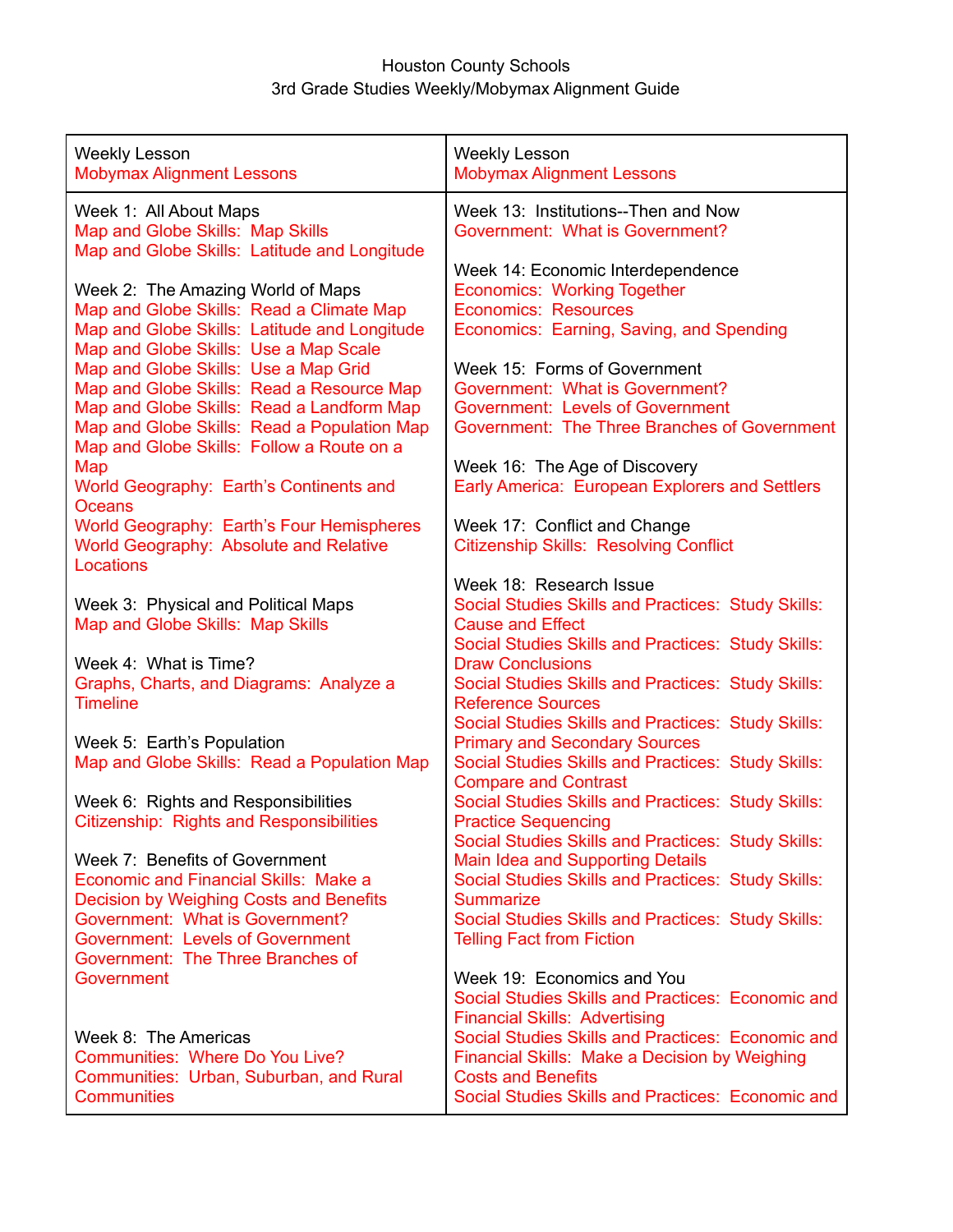## Houston County Schools 3rd Grade Studies Weekly/Mobymax Alignment Guide

| <b>Weekly Lesson</b><br><b>Mobymax Alignment Lessons</b>                                                                              | <b>Weekly Lesson</b><br><b>Mobymax Alignment Lessons</b>                                                                                                                             |
|---------------------------------------------------------------------------------------------------------------------------------------|--------------------------------------------------------------------------------------------------------------------------------------------------------------------------------------|
| Week 1: All About Maps<br>Map and Globe Skills: Map Skills<br>Map and Globe Skills: Latitude and Longitude                            | Week 13: Institutions--Then and Now<br>Government: What is Government?                                                                                                               |
| Week 2: The Amazing World of Maps<br>Map and Globe Skills: Read a Climate Map<br>Map and Globe Skills: Latitude and Longitude         | Week 14: Economic Interdependence<br><b>Economics: Working Together</b><br><b>Economics: Resources</b><br>Economics: Earning, Saving, and Spending                                   |
| Map and Globe Skills: Use a Map Scale<br>Map and Globe Skills: Use a Map Grid<br>Map and Globe Skills: Read a Resource Map            | Week 15: Forms of Government<br>Government: What is Government?                                                                                                                      |
| Map and Globe Skills: Read a Landform Map<br>Map and Globe Skills: Read a Population Map<br>Map and Globe Skills: Follow a Route on a | <b>Government: Levels of Government</b><br>Government: The Three Branches of Government                                                                                              |
| Map<br>World Geography: Earth's Continents and<br>Oceans                                                                              | Week 16: The Age of Discovery<br>Early America: European Explorers and Settlers                                                                                                      |
| World Geography: Earth's Four Hemispheres<br>World Geography: Absolute and Relative<br>Locations                                      | Week 17: Conflict and Change<br><b>Citizenship Skills: Resolving Conflict</b>                                                                                                        |
| Week 3: Physical and Political Maps<br>Map and Globe Skills: Map Skills                                                               | Week 18: Research Issue<br>Social Studies Skills and Practices: Study Skills:<br><b>Cause and Effect</b><br>Social Studies Skills and Practices: Study Skills:                       |
| Week 4: What is Time?<br>Graphs, Charts, and Diagrams: Analyze a<br><b>Timeline</b>                                                   | <b>Draw Conclusions</b><br>Social Studies Skills and Practices: Study Skills:<br><b>Reference Sources</b>                                                                            |
| Week 5: Earth's Population<br>Map and Globe Skills: Read a Population Map                                                             | Social Studies Skills and Practices: Study Skills:<br><b>Primary and Secondary Sources</b><br>Social Studies Skills and Practices: Study Skills:<br><b>Compare and Contrast</b>      |
| Week 6: Rights and Responsibilities<br><b>Citizenship: Rights and Responsibilities</b>                                                | Social Studies Skills and Practices: Study Skills:<br><b>Practice Sequencing</b><br>Social Studies Skills and Practices: Study Skills:                                               |
| Week 7: Benefits of Government<br><b>Economic and Financial Skills: Make a</b><br>Decision by Weighing Costs and Benefits             | <b>Main Idea and Supporting Details</b><br>Social Studies Skills and Practices: Study Skills:<br><b>Summarize</b>                                                                    |
| Government: What is Government?<br><b>Government: Levels of Government</b><br>Government: The Three Branches of                       | Social Studies Skills and Practices: Study Skills:<br><b>Telling Fact from Fiction</b>                                                                                               |
| Government                                                                                                                            | Week 19: Economics and You<br>Social Studies Skills and Practices: Economic and<br><b>Financial Skills: Advertising</b>                                                              |
| Week 8: The Americas<br>Communities: Where Do You Live?<br>Communities: Urban, Suburban, and Rural<br><b>Communities</b>              | Social Studies Skills and Practices: Economic and<br>Financial Skills: Make a Decision by Weighing<br><b>Costs and Benefits</b><br>Social Studies Skills and Practices: Economic and |